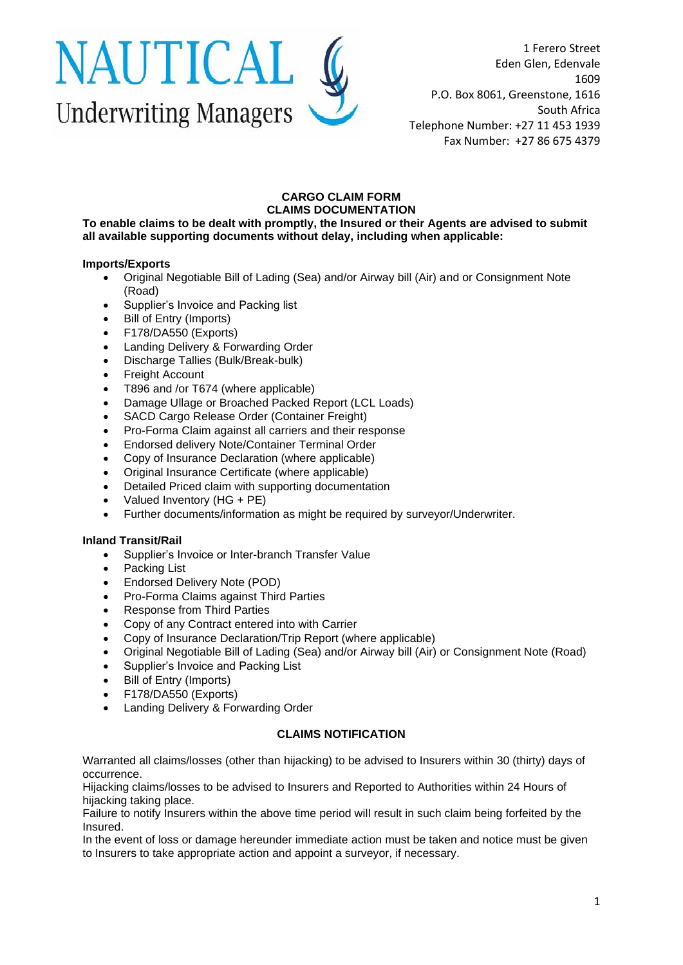

1 Ferero Street Eden Glen, Edenvale 1609 P.O. Box 8061, Greenstone, 1616 South Africa Telephone Number: +27 11 453 1939 Fax Number: +27 86 675 4379

## **CARGO CLAIM FORM CLAIMS DOCUMENTATION**

**To enable claims to be dealt with promptly, the Insured or their Agents are advised to submit all available supporting documents without delay, including when applicable:** 

## **Imports/Exports**

- Original Negotiable Bill of Lading (Sea) and/or Airway bill (Air) and or Consignment Note (Road)
- Supplier's Invoice and Packing list
- Bill of Entry (Imports)
- F178/DA550 (Exports)
- Landing Delivery & Forwarding Order
- Discharge Tallies (Bulk/Break-bulk)
- Freight Account
- T896 and /or T674 (where applicable)
- Damage Ullage or Broached Packed Report (LCL Loads)
- SACD Cargo Release Order (Container Freight)
- Pro-Forma Claim against all carriers and their response
- Endorsed delivery Note/Container Terminal Order
- Copy of Insurance Declaration (where applicable)
- Original Insurance Certificate (where applicable)
- Detailed Priced claim with supporting documentation
- Valued Inventory (HG + PE)
- Further documents/information as might be required by surveyor/Underwriter.

## **Inland Transit/Rail**

- Supplier's Invoice or Inter-branch Transfer Value
- Packing List
- Endorsed Delivery Note (POD)
- Pro-Forma Claims against Third Parties
- Response from Third Parties
- Copy of any Contract entered into with Carrier
- Copy of Insurance Declaration/Trip Report (where applicable)
- Original Negotiable Bill of Lading (Sea) and/or Airway bill (Air) or Consignment Note (Road)
- Supplier's Invoice and Packing List
- Bill of Entry (Imports)
- F178/DA550 (Exports)
- Landing Delivery & Forwarding Order

## **CLAIMS NOTIFICATION**

Warranted all claims/losses (other than hijacking) to be advised to Insurers within 30 (thirty) days of occurrence.

Hijacking claims/losses to be advised to Insurers and Reported to Authorities within 24 Hours of hijacking taking place.

Failure to notify Insurers within the above time period will result in such claim being forfeited by the Insured.

In the event of loss or damage hereunder immediate action must be taken and notice must be given to Insurers to take appropriate action and appoint a surveyor, if necessary.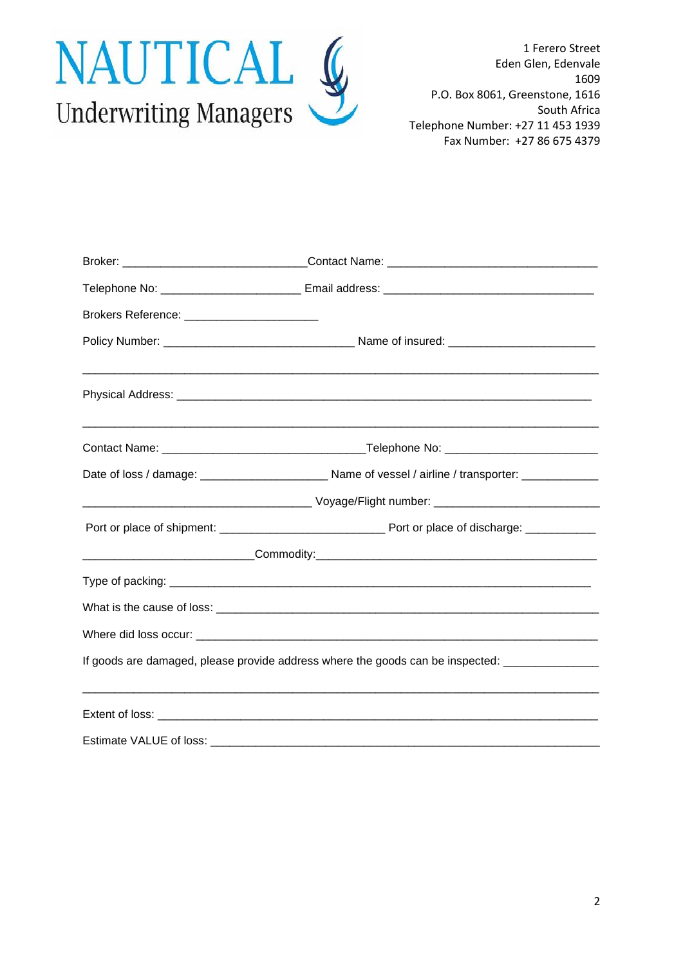

1 Ferero Street Eden Glen, Edenvale 1609 P.O. Box 8061, Greenstone, 1616 South Africa Telephone Number: +27 11 453 1939 Fax Number: +27 86 675 4379

| Brokers Reference: _____________________________ |                                                                                                |
|--------------------------------------------------|------------------------------------------------------------------------------------------------|
|                                                  |                                                                                                |
|                                                  |                                                                                                |
|                                                  |                                                                                                |
|                                                  |                                                                                                |
|                                                  |                                                                                                |
|                                                  |                                                                                                |
|                                                  |                                                                                                |
|                                                  |                                                                                                |
|                                                  |                                                                                                |
|                                                  |                                                                                                |
|                                                  | If goods are damaged, please provide address where the goods can be inspected: _______________ |
|                                                  |                                                                                                |
|                                                  |                                                                                                |